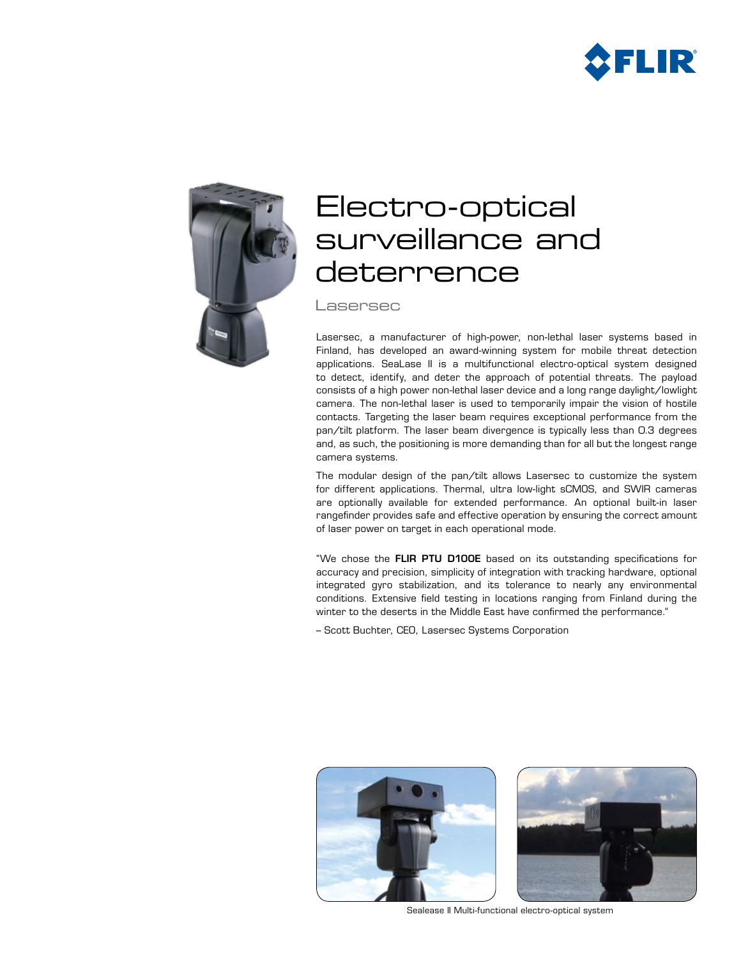



# Electro-optical surveillance and deterrence

Lasersec

Lasersec, a manufacturer of high-power, non-lethal laser systems based in Finland, has developed an award-winning system for mobile threat detection applications. SeaLase II is a multifunctional electro-optical system designed to detect, identify, and deter the approach of potential threats. The payload consists of a high power non-lethal laser device and a long range daylight/lowlight camera. The non-lethal laser is used to temporarily impair the vision of hostile contacts. Targeting the laser beam requires exceptional performance from the pan/tilt platform. The laser beam divergence is typically less than 0.3 degrees and, as such, the positioning is more demanding than for all but the longest range camera systems.

The modular design of the pan/tilt allows Lasersec to customize the system for different applications. Thermal, ultra low-light sCMOS, and SWIR cameras are optionally available for extended performance. An optional built-in laser rangefinder provides safe and effective operation by ensuring the correct amount of laser power on target in each operational mode.

"We chose the FLIR PTU D100E based on its outstanding specifications for accuracy and precision, simplicity of integration with tracking hardware, optional integrated gyro stabilization, and its tolerance to nearly any environmental conditions. Extensive field testing in locations ranging from Finland during the winter to the deserts in the Middle East have confirmed the performance."

– Scott Buchter, CEO, Lasersec Systems Corporation





Sealease II Multi-functional electro-optical system